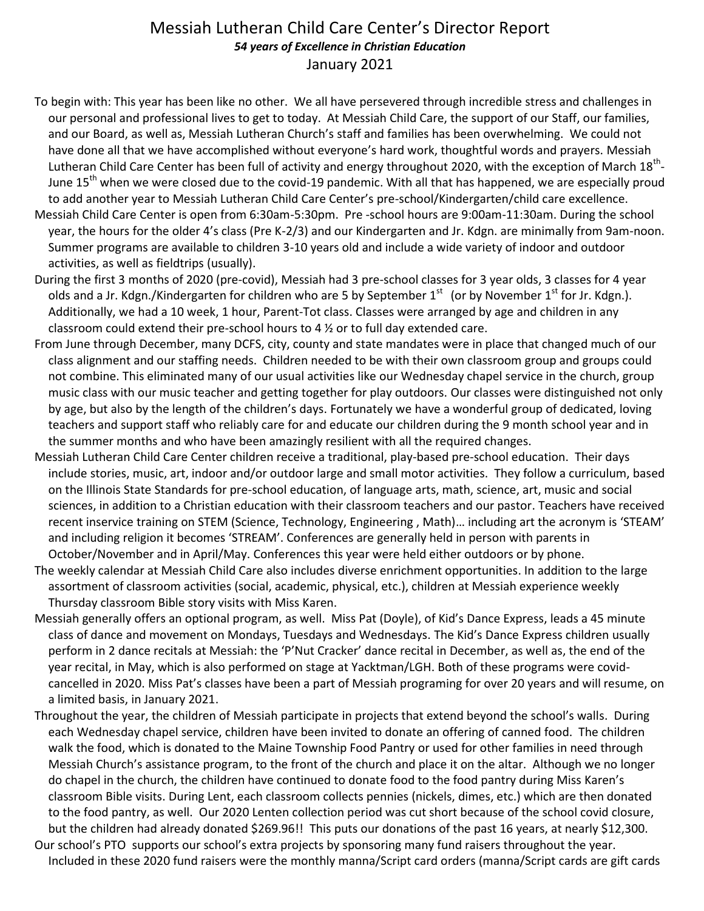# Messiah Lutheran Child Care Center's Director Report *54 years of Excellence in Christian Education* January 2021

- To begin with: This year has been like no other. We all have persevered through incredible stress and challenges in our personal and professional lives to get to today. At Messiah Child Care, the support of our Staff, our families, and our Board, as well as, Messiah Lutheran Church's staff and families has been overwhelming. We could not have done all that we have accomplished without everyone's hard work, thoughtful words and prayers. Messiah Lutheran Child Care Center has been full of activity and energy throughout 2020, with the exception of March 18<sup>th</sup>-June 15<sup>th</sup> when we were closed due to the covid-19 pandemic. With all that has happened, we are especially proud to add another year to Messiah Lutheran Child Care Center's pre-school/Kindergarten/child care excellence.
- Messiah Child Care Center is open from 6:30am-5:30pm. Pre -school hours are 9:00am-11:30am. During the school year, the hours for the older 4's class (Pre K-2/3) and our Kindergarten and Jr. Kdgn. are minimally from 9am-noon. Summer programs are available to children 3-10 years old and include a wide variety of indoor and outdoor activities, as well as fieldtrips (usually).
- During the first 3 months of 2020 (pre-covid), Messiah had 3 pre-school classes for 3 year olds, 3 classes for 4 year olds and a Jr. Kdgn./Kindergarten for children who are 5 by September  $1^{\text{st}}$  (or by November  $1^{\text{st}}$  for Jr. Kdgn.). Additionally, we had a 10 week, 1 hour, Parent-Tot class. Classes were arranged by age and children in any classroom could extend their pre-school hours to 4  $\frac{1}{2}$  or to full day extended care.
- From June through December, many DCFS, city, county and state mandates were in place that changed much of our class alignment and our staffing needs. Children needed to be with their own classroom group and groups could not combine. This eliminated many of our usual activities like our Wednesday chapel service in the church, group music class with our music teacher and getting together for play outdoors. Our classes were distinguished not only by age, but also by the length of the children's days. Fortunately we have a wonderful group of dedicated, loving teachers and support staff who reliably care for and educate our children during the 9 month school year and in the summer months and who have been amazingly resilient with all the required changes.
- Messiah Lutheran Child Care Center children receive a traditional, play-based pre-school education. Their days include stories, music, art, indoor and/or outdoor large and small motor activities. They follow a curriculum, based on the Illinois State Standards for pre-school education, of language arts, math, science, art, music and social sciences, in addition to a Christian education with their classroom teachers and our pastor. Teachers have received recent inservice training on STEM (Science, Technology, Engineering , Math)… including art the acronym is 'STEAM' and including religion it becomes 'STREAM'. Conferences are generally held in person with parents in October/November and in April/May. Conferences this year were held either outdoors or by phone.
- The weekly calendar at Messiah Child Care also includes diverse enrichment opportunities. In addition to the large assortment of classroom activities (social, academic, physical, etc.), children at Messiah experience weekly Thursday classroom Bible story visits with Miss Karen.
- Messiah generally offers an optional program, as well. Miss Pat (Doyle), of Kid's Dance Express, leads a 45 minute class of dance and movement on Mondays, Tuesdays and Wednesdays. The Kid's Dance Express children usually perform in 2 dance recitals at Messiah: the 'P'Nut Cracker' dance recital in December, as well as, the end of the year recital, in May, which is also performed on stage at Yacktman/LGH. Both of these programs were covidcancelled in 2020. Miss Pat's classes have been a part of Messiah programing for over 20 years and will resume, on a limited basis, in January 2021.
- Throughout the year, the children of Messiah participate in projects that extend beyond the school's walls. During each Wednesday chapel service, children have been invited to donate an offering of canned food. The children walk the food, which is donated to the Maine Township Food Pantry or used for other families in need through Messiah Church's assistance program, to the front of the church and place it on the altar. Although we no longer do chapel in the church, the children have continued to donate food to the food pantry during Miss Karen's classroom Bible visits. During Lent, each classroom collects pennies (nickels, dimes, etc.) which are then donated to the food pantry, as well. Our 2020 Lenten collection period was cut short because of the school covid closure, but the children had already donated \$269.96!! This puts our donations of the past 16 years, at nearly \$12,300.
- Our school's PTO supports our school's extra projects by sponsoring many fund raisers throughout the year. Included in these 2020 fund raisers were the monthly manna/Script card orders (manna/Script cards are gift cards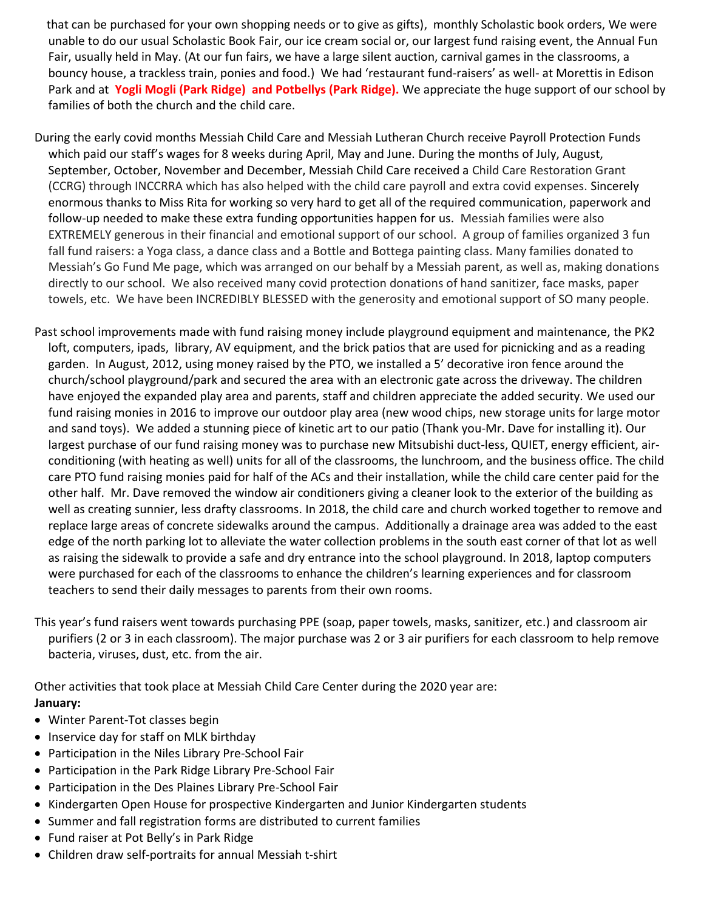that can be purchased for your own shopping needs or to give as gifts), monthly Scholastic book orders, We were unable to do our usual Scholastic Book Fair, our ice cream social or, our largest fund raising event, the Annual Fun Fair, usually held in May. (At our fun fairs, we have a large silent auction, carnival games in the classrooms, a bouncy house, a trackless train, ponies and food.) We had 'restaurant fund-raisers' as well- at Morettis in Edison Park and at **Yogli Mogli (Park Ridge) and Potbellys (Park Ridge).** We appreciate the huge support of our school by families of both the church and the child care.

- During the early covid months Messiah Child Care and Messiah Lutheran Church receive Payroll Protection Funds which paid our staff's wages for 8 weeks during April, May and June. During the months of July, August, September, October, November and December, Messiah Child Care received a Child Care Restoration Grant (CCRG) through INCCRRA which has also helped with the child care payroll and extra covid expenses. Sincerely enormous thanks to Miss Rita for working so very hard to get all of the required communication, paperwork and follow-up needed to make these extra funding opportunities happen for us. Messiah families were also EXTREMELY generous in their financial and emotional support of our school. A group of families organized 3 fun fall fund raisers: a Yoga class, a dance class and a Bottle and Bottega painting class. Many families donated to Messiah's Go Fund Me page, which was arranged on our behalf by a Messiah parent, as well as, making donations directly to our school. We also received many covid protection donations of hand sanitizer, face masks, paper towels, etc. We have been INCREDIBLY BLESSED with the generosity and emotional support of SO many people.
- Past school improvements made with fund raising money include playground equipment and maintenance, the PK2 loft, computers, ipads, library, AV equipment, and the brick patios that are used for picnicking and as a reading garden. In August, 2012, using money raised by the PTO, we installed a 5' decorative iron fence around the church/school playground/park and secured the area with an electronic gate across the driveway. The children have enjoyed the expanded play area and parents, staff and children appreciate the added security. We used our fund raising monies in 2016 to improve our outdoor play area (new wood chips, new storage units for large motor and sand toys). We added a stunning piece of kinetic art to our patio (Thank you-Mr. Dave for installing it). Our largest purchase of our fund raising money was to purchase new Mitsubishi duct-less, QUIET, energy efficient, airconditioning (with heating as well) units for all of the classrooms, the lunchroom, and the business office. The child care PTO fund raising monies paid for half of the ACs and their installation, while the child care center paid for the other half. Mr. Dave removed the window air conditioners giving a cleaner look to the exterior of the building as well as creating sunnier, less drafty classrooms. In 2018, the child care and church worked together to remove and replace large areas of concrete sidewalks around the campus. Additionally a drainage area was added to the east edge of the north parking lot to alleviate the water collection problems in the south east corner of that lot as well as raising the sidewalk to provide a safe and dry entrance into the school playground. In 2018, laptop computers were purchased for each of the classrooms to enhance the children's learning experiences and for classroom teachers to send their daily messages to parents from their own rooms.
- This year's fund raisers went towards purchasing PPE (soap, paper towels, masks, sanitizer, etc.) and classroom air purifiers (2 or 3 in each classroom). The major purchase was 2 or 3 air purifiers for each classroom to help remove bacteria, viruses, dust, etc. from the air.

Other activities that took place at Messiah Child Care Center during the 2020 year are: **January:**

- Winter Parent-Tot classes begin
- Inservice day for staff on MLK birthday
- Participation in the Niles Library Pre-School Fair
- Participation in the Park Ridge Library Pre-School Fair
- Participation in the Des Plaines Library Pre-School Fair
- Kindergarten Open House for prospective Kindergarten and Junior Kindergarten students
- Summer and fall registration forms are distributed to current families
- Fund raiser at Pot Belly's in Park Ridge
- Children draw self-portraits for annual Messiah t-shirt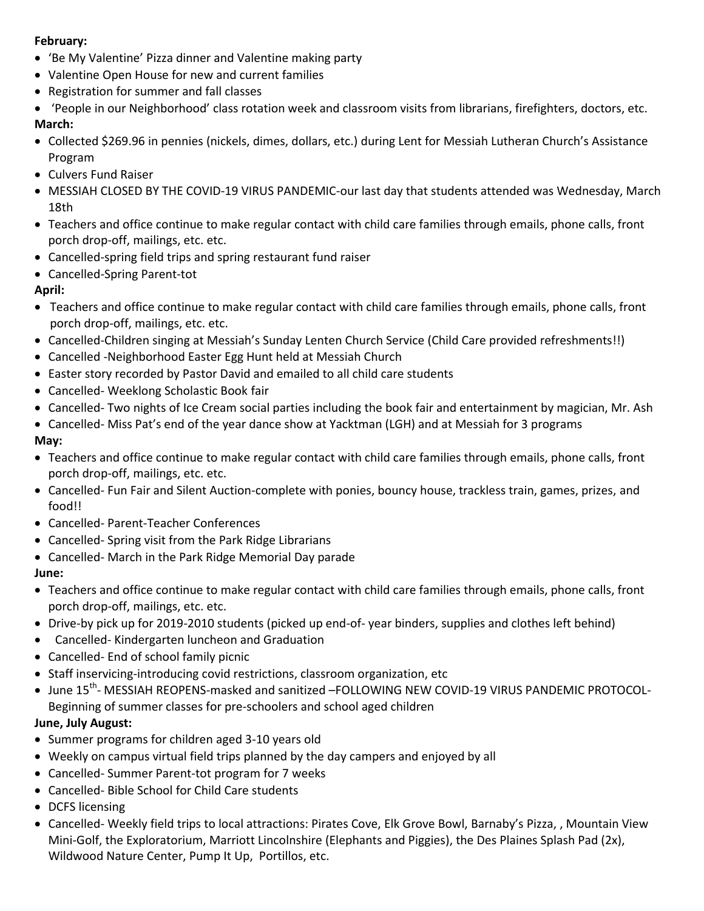## **February:**

- 'Be My Valentine' Pizza dinner and Valentine making party
- Valentine Open House for new and current families
- Registration for summer and fall classes
- 'People in our Neighborhood' class rotation week and classroom visits from librarians, firefighters, doctors, etc. **March:**
- Collected \$269.96 in pennies (nickels, dimes, dollars, etc.) during Lent for Messiah Lutheran Church's Assistance Program
- Culvers Fund Raiser
- MESSIAH CLOSED BY THE COVID-19 VIRUS PANDEMIC-our last day that students attended was Wednesday, March 18th
- Teachers and office continue to make regular contact with child care families through emails, phone calls, front porch drop-off, mailings, etc. etc.
- Cancelled-spring field trips and spring restaurant fund raiser
- Cancelled-Spring Parent-tot

## **April:**

- Teachers and office continue to make regular contact with child care families through emails, phone calls, front porch drop-off, mailings, etc. etc.
- Cancelled-Children singing at Messiah's Sunday Lenten Church Service (Child Care provided refreshments!!)
- Cancelled -Neighborhood Easter Egg Hunt held at Messiah Church
- Easter story recorded by Pastor David and emailed to all child care students
- Cancelled- Weeklong Scholastic Book fair
- Cancelled- Two nights of Ice Cream social parties including the book fair and entertainment by magician, Mr. Ash
- Cancelled- Miss Pat's end of the year dance show at Yacktman (LGH) and at Messiah for 3 programs **May:**
- Teachers and office continue to make regular contact with child care families through emails, phone calls, front porch drop-off, mailings, etc. etc.
- Cancelled- Fun Fair and Silent Auction-complete with ponies, bouncy house, trackless train, games, prizes, and food!!
- Cancelled- Parent-Teacher Conferences
- Cancelled- Spring visit from the Park Ridge Librarians
- Cancelled- March in the Park Ridge Memorial Day parade

## **June:**

- Teachers and office continue to make regular contact with child care families through emails, phone calls, front porch drop-off, mailings, etc. etc.
- Drive-by pick up for 2019-2010 students (picked up end-of- year binders, supplies and clothes left behind)
- Cancelled- Kindergarten luncheon and Graduation
- Cancelled- End of school family picnic
- Staff inservicing-introducing covid restrictions, classroom organization, etc
- June 15<sup>th</sup>- MESSIAH REOPENS-masked and sanitized -FOLLOWING NEW COVID-19 VIRUS PANDEMIC PROTOCOL-Beginning of summer classes for pre-schoolers and school aged children

## **June, July August:**

- Summer programs for children aged 3-10 years old
- Weekly on campus virtual field trips planned by the day campers and enjoyed by all
- Cancelled- Summer Parent-tot program for 7 weeks
- Cancelled- Bible School for Child Care students
- DCFS licensing
- Cancelled- Weekly field trips to local attractions: Pirates Cove, Elk Grove Bowl, Barnaby's Pizza, , Mountain View Mini-Golf, the Exploratorium, Marriott Lincolnshire (Elephants and Piggies), the Des Plaines Splash Pad (2x), Wildwood Nature Center, Pump It Up, Portillos, etc.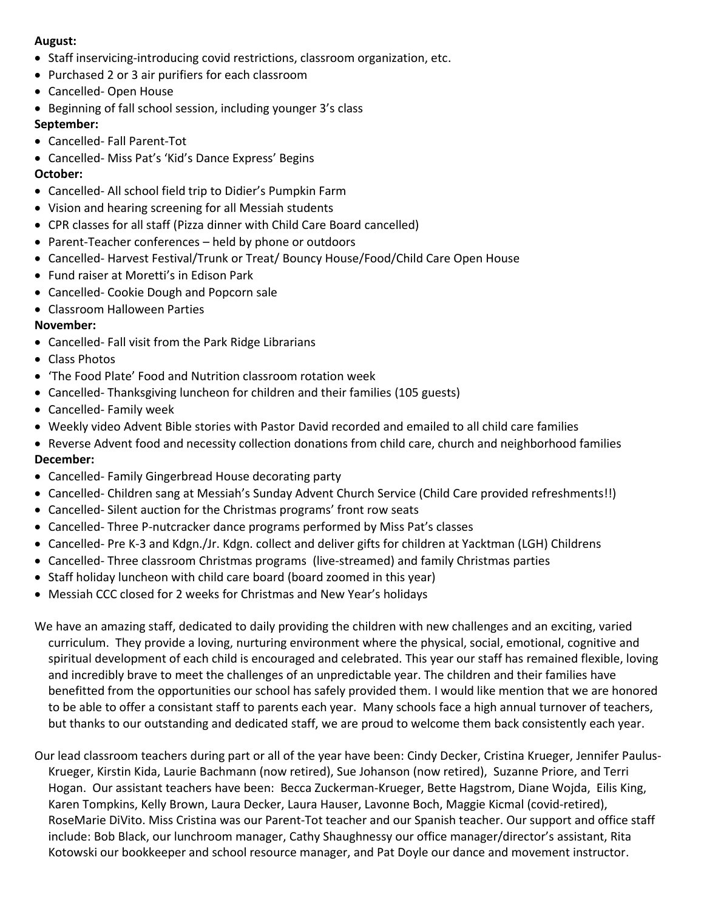#### **August:**

- Staff inservicing-introducing covid restrictions, classroom organization, etc.
- Purchased 2 or 3 air purifiers for each classroom
- Cancelled- Open House
- Beginning of fall school session, including younger 3's class **September:**
- Cancelled- Fall Parent-Tot
- Cancelled- Miss Pat's 'Kid's Dance Express' Begins

## **October:**

- Cancelled- All school field trip to Didier's Pumpkin Farm
- Vision and hearing screening for all Messiah students
- CPR classes for all staff (Pizza dinner with Child Care Board cancelled)
- Parent-Teacher conferences held by phone or outdoors
- Cancelled- Harvest Festival/Trunk or Treat/ Bouncy House/Food/Child Care Open House
- Fund raiser at Moretti's in Edison Park
- Cancelled- Cookie Dough and Popcorn sale
- Classroom Halloween Parties

#### **November:**

- Cancelled- Fall visit from the Park Ridge Librarians
- Class Photos
- 'The Food Plate' Food and Nutrition classroom rotation week
- Cancelled- Thanksgiving luncheon for children and their families (105 guests)
- Cancelled- Family week
- Weekly video Advent Bible stories with Pastor David recorded and emailed to all child care families
- Reverse Advent food and necessity collection donations from child care, church and neighborhood families **December:**
- Cancelled- Family Gingerbread House decorating party
- Cancelled- Children sang at Messiah's Sunday Advent Church Service (Child Care provided refreshments!!)
- Cancelled- Silent auction for the Christmas programs' front row seats
- Cancelled- Three P-nutcracker dance programs performed by Miss Pat's classes
- Cancelled- Pre K-3 and Kdgn./Jr. Kdgn. collect and deliver gifts for children at Yacktman (LGH) Childrens
- Cancelled- Three classroom Christmas programs (live-streamed) and family Christmas parties
- Staff holiday luncheon with child care board (board zoomed in this year)
- Messiah CCC closed for 2 weeks for Christmas and New Year's holidays

We have an amazing staff, dedicated to daily providing the children with new challenges and an exciting, varied curriculum. They provide a loving, nurturing environment where the physical, social, emotional, cognitive and spiritual development of each child is encouraged and celebrated. This year our staff has remained flexible, loving and incredibly brave to meet the challenges of an unpredictable year. The children and their families have benefitted from the opportunities our school has safely provided them. I would like mention that we are honored to be able to offer a consistant staff to parents each year. Many schools face a high annual turnover of teachers, but thanks to our outstanding and dedicated staff, we are proud to welcome them back consistently each year.

Our lead classroom teachers during part or all of the year have been: Cindy Decker, Cristina Krueger, Jennifer Paulus-Krueger, Kirstin Kida, Laurie Bachmann (now retired), Sue Johanson (now retired), Suzanne Priore, and Terri Hogan. Our assistant teachers have been: Becca Zuckerman-Krueger, Bette Hagstrom, Diane Wojda, Eilis King, Karen Tompkins, Kelly Brown, Laura Decker, Laura Hauser, Lavonne Boch, Maggie Kicmal (covid-retired), RoseMarie DiVito. Miss Cristina was our Parent-Tot teacher and our Spanish teacher. Our support and office staff include: Bob Black, our lunchroom manager, Cathy Shaughnessy our office manager/director's assistant, Rita Kotowski our bookkeeper and school resource manager, and Pat Doyle our dance and movement instructor.